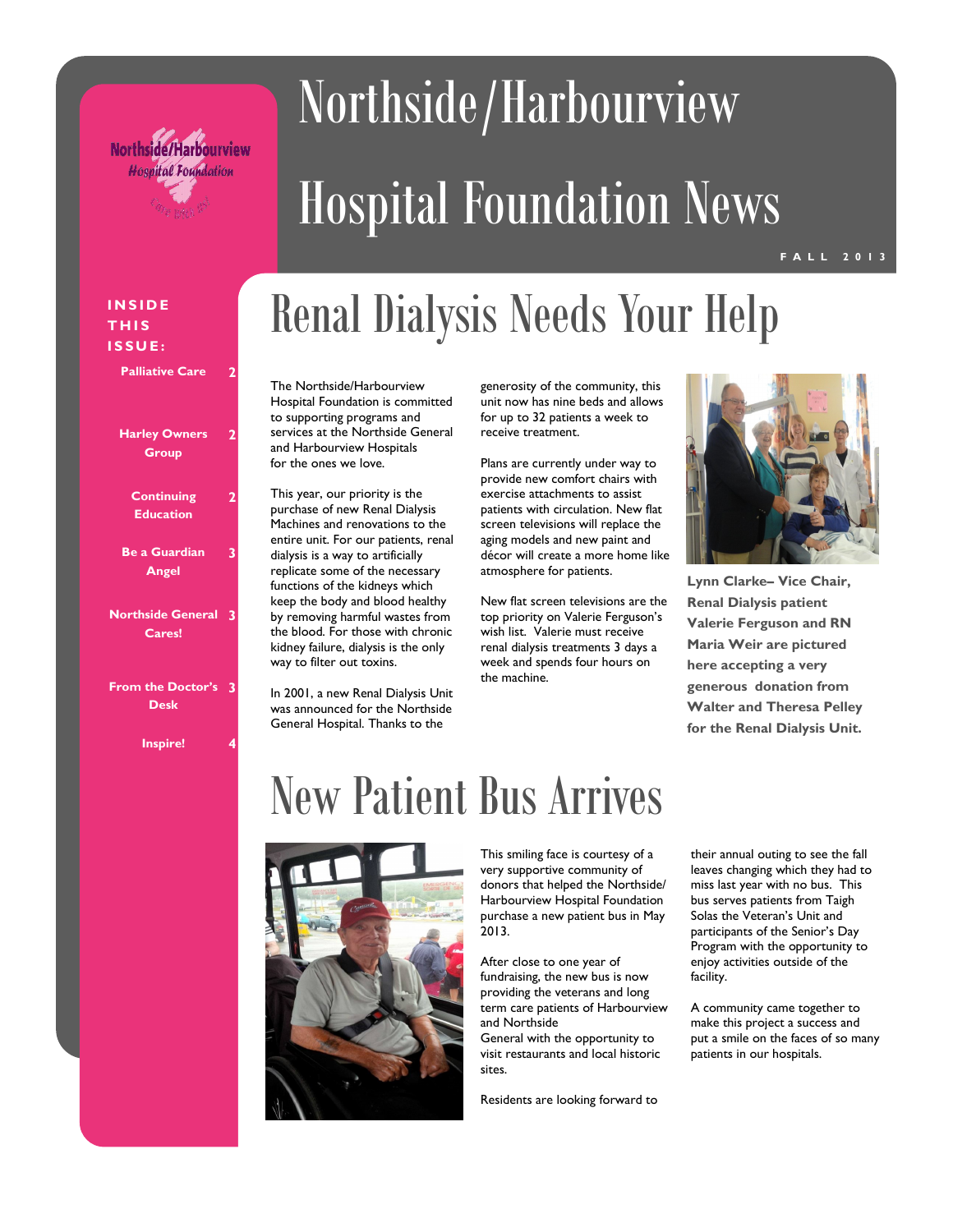

# Northside/Harbourview Hospital Foundation News

#### **T H I S I S S U E :**

| <b>Harley Owners</b> |
|----------------------|
| Group                |

**2**

**2**

**3**

**Palliative Care** 

- **Continuing**
- **Education**
- **Be a Guardian Angel**
- **Northside General 3 Cares!**
- **From the Doctor's 3 Desk**
	- **Inspire! 4**

## **Renal Dialysis Needs Your Help**

The Northside/Harbourview Hospital Foundation is committed to supporting programs and services at the Northside General and Harbourview Hospitals for the ones we love.

This year, our priority is the purchase of new Renal Dialysis Machines and renovations to the entire unit. For our patients, renal dialysis is a way to artificially replicate some of the necessary functions of the kidneys which keep the body and blood healthy by removing harmful wastes from the blood. For those with chronic kidney failure, dialysis is the only way to filter out toxins.

In 2001, a new Renal Dialysis Unit was announced for the Northside General Hospital. Thanks to the

generosity of the community, this unit now has nine beds and allows for up to 32 patients a week to receive treatment.

Plans are currently under way to provide new comfort chairs with exercise attachments to assist patients with circulation. New flat screen televisions will replace the aging models and new paint and décor will create a more home like atmosphere for patients.

New flat screen televisions are the top priority on Valerie Ferguson's wish list. Valerie must receive renal dialysis treatments 3 days a week and spends four hours on the machine.



**Lynn Clarke– Vice Chair, Renal Dialysis patient Valerie Ferguson and RN Maria Weir are pictured here accepting a very generous donation from Walter and Theresa Pelley for the Renal Dialysis Unit.**

## New Patient Bus Arrives



This smiling face is courtesy of a very supportive community of donors that helped the Northside/ Harbourview Hospital Foundation purchase a new patient bus in May 2013.

After close to one year of fundraising, the new bus is now providing the veterans and long term care patients of Harbourview and Northside General with the opportunity to

visit restaurants and local historic sites.

Residents are looking forward to

their annual outing to see the fall leaves changing which they had to miss last year with no bus. This bus serves patients from Taigh Solas the Veteran's Unit and participants of the Senior's Day Program with the opportunity to enjoy activities outside of the facility.

A community came together to make this project a success and put a smile on the faces of so many patients in our hospitals.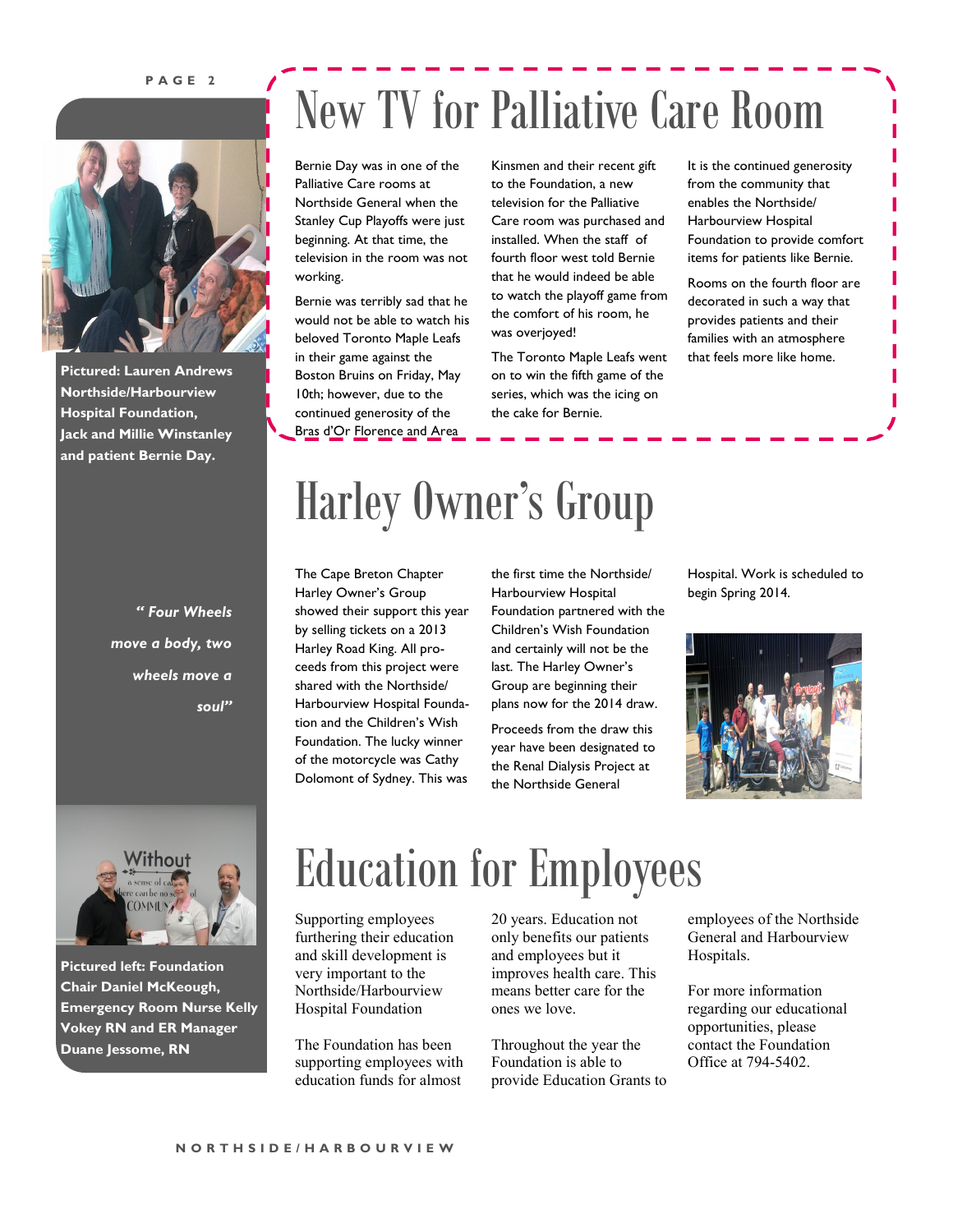#### **P A G E 2**



**Pictured: Lauren Andrews Northside/Harbourview Hospital Foundation, Jack and Millie Winstanley and patient Bernie Day.** 

> *" Four Wheels move a body, two wheels move a soul"*

### New TV for Palliative Care Room

Bernie Day was in one of the Palliative Care rooms at Northside General when the Stanley Cup Playoffs were just beginning. At that time, the television in the room was not working.

Bernie was terribly sad that he would not be able to watch his beloved Toronto Maple Leafs in their game against the Boston Bruins on Friday, May 10th; however, due to the continued generosity of the B<u>ras</u> d<u>'Or Florence and A</u>re<u>a </u>

Kinsmen and their recent gift to the Foundation, a new television for the Palliative Care room was purchased and installed. When the staff of fourth floor west told Bernie that he would indeed be able to watch the playoff game from the comfort of his room, he was overjoyed!

The Toronto Maple Leafs went on to win the fifth game of the series, which was the icing on the cake for Bernie.

It is the continued generosity from the community that enables the Northside/ Harbourview Hospital Foundation to provide comfort items for patients like Bernie.

Rooms on the fourth floor are decorated in such a way that provides patients and their families with an atmosphere that feels more like home.

### Harley Owner's Group

The Cape Breton Chapter Harley Owner's Group showed their support this year by selling tickets on a 2013 Harley Road King. All proceeds from this project were shared with the Northside/ Harbourview Hospital Foundation and the Children's Wish Foundation. The lucky winner of the motorcycle was Cathy Dolomont of Sydney. This was the first time the Northside/ Harbourview Hospital Foundation partnered with the Children's Wish Foundation and certainly will not be the last. The Harley Owner's Group are beginning their plans now for the 2014 draw.

Proceeds from the draw this year have been designated to the Renal Dialysis Project at the Northside General

Hospital. Work is scheduled to begin Spring 2014.





**Pictured left: Foundation Chair Daniel McKeough, Emergency Room Nurse Kelly Vokey RN and ER Manager Duane Jessome, RN**

### Education for Employees

Supporting employees furthering their education and skill development is very important to the Northside/Harbourview Hospital Foundation

The Foundation has been supporting employees with education funds for almost

20 years. Education not only benefits our patients and employees but it improves health care. This means better care for the ones we love.

Throughout the year the Foundation is able to provide Education Grants to

employees of the Northside General and Harbourview Hospitals.

For more information regarding our educational opportunities, please contact the Foundation Office at 794-5402.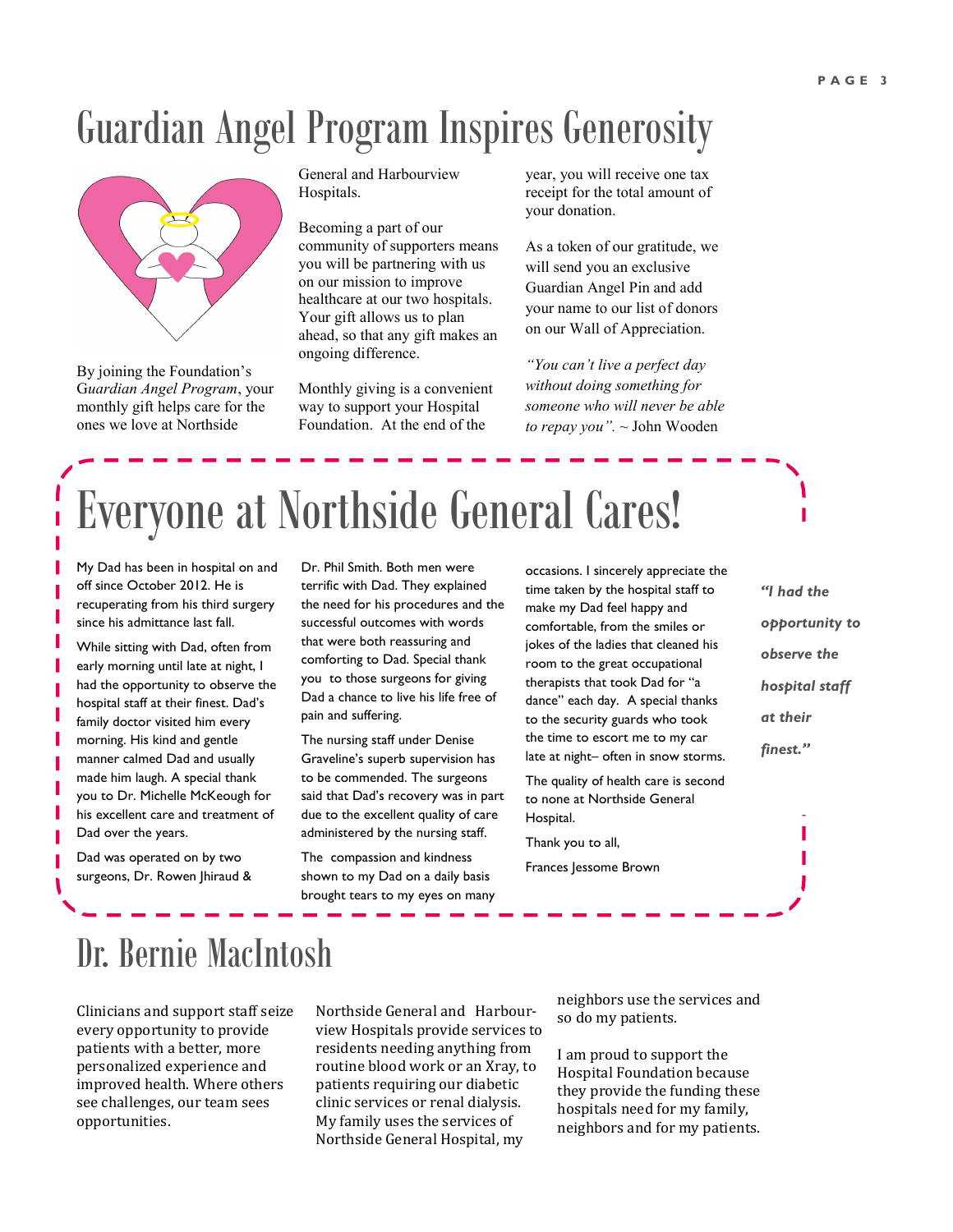#### Guardian Angel Program Inspires Generosity



By joining the Foundation's G*uardian Angel Program*, your monthly gift helps care for the ones we love at Northside

General and Harbourview Hospitals.

Becoming a part of our community of supporters means you will be partnering with us on our mission to improve healthcare at our two hospitals. Your gift allows us to plan ahead, so that any gift makes an ongoing difference.

Monthly giving is a convenient way to support your Hospital Foundation. At the end of the

year, you will receive one tax receipt for the total amount of your donation.

As a token of our gratitude, we will send you an exclusive Guardian Angel Pin and add your name to our list of donors on our Wall of Appreciation.

*"You can't live a perfect day without doing something for someone who will never be able to repay you". ~* John Wooden

## Everyone at Northside General Cares!

My Dad has been in hospital on and off since October 2012. He is recuperating from his third surgery since his admittance last fall.

While sitting with Dad, often from early morning until late at night, I had the opportunity to observe the hospital staff at their finest. Dad's family doctor visited him every morning. His kind and gentle manner calmed Dad and usually made him laugh. A special thank you to Dr. Michelle McKeough for his excellent care and treatment of Dad over the years.

Dad was operated on by two surgeons, Dr. Rowen Jhiraud & Dr. Phil Smith. Both men were terrific with Dad. They explained the need for his procedures and the successful outcomes with words that were both reassuring and comforting to Dad. Special thank you to those surgeons for giving Dad a chance to live his life free of pain and suffering.

The nursing staff under Denise Graveline's superb supervision has to be commended. The surgeons said that Dad's recovery was in part due to the excellent quality of care administered by the nursing staff.

The compassion and kindness shown to my Dad on a daily basis brought tears to my eyes on many

occasions. I sincerely appreciate the time taken by the hospital staff to make my Dad feel happy and comfortable, from the smiles or jokes of the ladies that cleaned his room to the great occupational therapists that took Dad for "a dance" each day. A special thanks to the security guards who took the time to escort me to my car late at night– often in snow storms.

The quality of health care is second to none at Northside General Hospital.

Thank you to all, Frances Jessome Brown

*"I had the opportunity to observe the hospital staff at their finest."*

#### Dr. Bernie MacIntosh

Clinicians and support staff seize every opportunity to provide patients with a better, more personalized experience and improved health. Where others see challenges, our team sees opportunities.

Northside General and Harbourview Hospitals provide services to residents needing anything from routine blood work or an Xray, to patients requiring our diabetic clinic services or renal dialysis. My family uses the services of Northside General Hospital, my

neighbors use the services and so do my patients.

I am proud to support the Hospital Foundation because they provide the funding these hospitals need for my family, neighbors and for my patients.